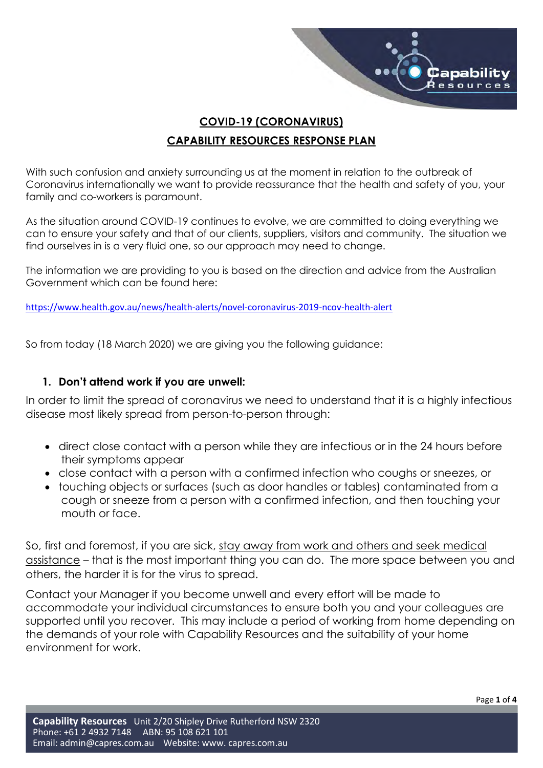

# COVID-19 (CORONAVIRUS) CAPABILITY RESOURCES RESPONSE PLAN

With such confusion and anxiety surrounding us at the moment in relation to the outbreak of Coronavirus internationally we want to provide reassurance that the health and safety of you, your family and co-workers is paramount.

As the situation around COVID-19 continues to evolve, we are committed to doing everything we can to ensure your safety and that of our clients, suppliers, visitors and community. The situation we find ourselves in is a very fluid one, so our approach may need to change.

The information we are providing to you is based on the direction and advice from the Australian Government which can be found here:

https://www.health.gov.au/news/health-alerts/novel-coronavirus-2019-ncov-health-alert

So from today (18 March 2020) we are giving you the following guidance:

## 1. Don't attend work if you are unwell:

In order to limit the spread of coronavirus we need to understand that it is a highly infectious disease most likely spread from person-to-person through:

- direct close contact with a person while they are infectious or in the 24 hours before their symptoms appear
- close contact with a person with a confirmed infection who coughs or sneezes, or
- touching objects or surfaces (such as door handles or tables) contaminated from a cough or sneeze from a person with a confirmed infection, and then touching your mouth or face.

So, first and foremost, if you are sick, stay away from work and others and seek medical assistance – that is the most important thing you can do. The more space between you and others, the harder it is for the virus to spread.

Contact your Manager if you become unwell and every effort will be made to accommodate your individual circumstances to ensure both you and your colleagues are supported until you recover. This may include a period of working from home depending on the demands of your role with Capability Resources and the suitability of your home environment for work.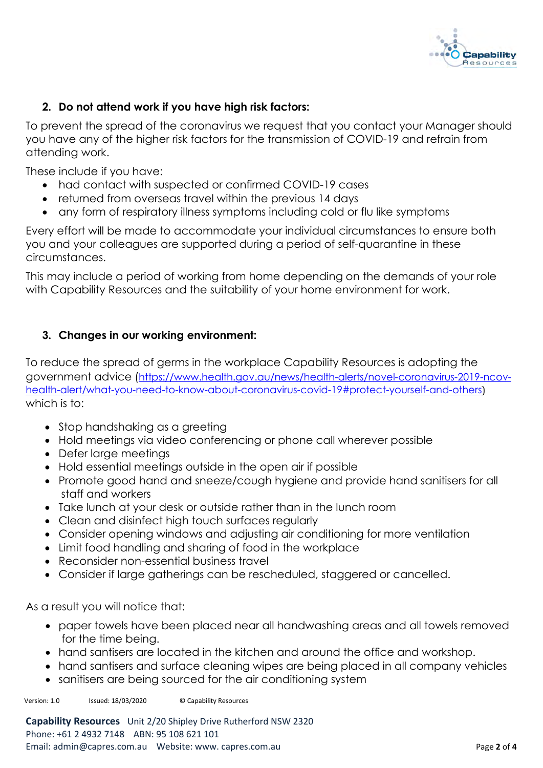

## 2. Do not attend work if you have high risk factors:

To prevent the spread of the coronavirus we request that you contact your Manager should you have any of the higher risk factors for the transmission of COVID-19 and refrain from attending work.

These include if you have:

- had contact with suspected or confirmed COVID-19 cases
- returned from overseas travel within the previous 14 days
- any form of respiratory illness symptoms including cold or flu like symptoms

Every effort will be made to accommodate your individual circumstances to ensure both you and your colleagues are supported during a period of self-quarantine in these circumstances.

This may include a period of working from home depending on the demands of your role with Capability Resources and the suitability of your home environment for work.

## 3. Changes in our working environment:

To reduce the spread of germs in the workplace Capability Resources is adopting the government advice (https://www.health.gov.au/news/health-alerts/novel-coronavirus-2019-ncovhealth-alert/what-you-need-to-know-about-coronavirus-covid-19#protect-yourself-and-others) which is to:

- Stop handshaking as a greeting
- Hold meetings via video conferencing or phone call wherever possible
- Defer large meetings
- Hold essential meetings outside in the open air if possible
- Promote good hand and sneeze/cough hygiene and provide hand sanitisers for all staff and workers
- Take lunch at your desk or outside rather than in the lunch room
- Clean and disinfect high touch surfaces regularly
- Consider opening windows and adjusting air conditioning for more ventilation
- Limit food handling and sharing of food in the workplace
- Reconsider non-essential business travel
- Consider if large gatherings can be rescheduled, staggered or cancelled.

As a result you will notice that:

- paper towels have been placed near all handwashing areas and all towels removed for the time being.
- hand santisers are located in the kitchen and around the office and workshop.
- hand santisers and surface cleaning wipes are being placed in all company vehicles
- sanitisers are being sourced for the air conditioning system

Version: 1.0 Issued: 18/03/2020 © Capability Resources

Capability Resources Unit 2/20 Shipley Drive Rutherford NSW 2320 Phone: +61 2 4932 7148 ABN: 95 108 621 101 Email: admin@capres.com.au Website: www. capres.com.au Page 2 of 4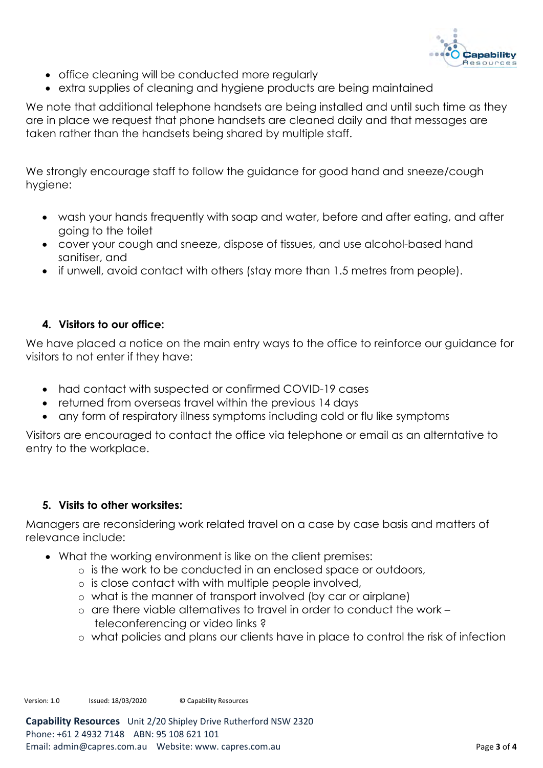

- office cleaning will be conducted more regularly
- extra supplies of cleaning and hygiene products are being maintained

We note that additional telephone handsets are being installed and until such time as they are in place we request that phone handsets are cleaned daily and that messages are taken rather than the handsets being shared by multiple staff.

We strongly encourage staff to follow the guidance for good hand and sneeze/cough hygiene:

- wash your hands frequently with soap and water, before and after eating, and after going to the toilet
- cover your cough and sneeze, dispose of tissues, and use alcohol-based hand sanitiser, and
- if unwell, avoid contact with others (stay more than 1.5 metres from people).

## 4. Visitors to our office:

We have placed a notice on the main entry ways to the office to reinforce our guidance for visitors to not enter if they have:

- had contact with suspected or confirmed COVID-19 cases
- returned from overseas travel within the previous 14 days
- any form of respiratory illness symptoms including cold or flu like symptoms

Visitors are encouraged to contact the office via telephone or email as an alterntative to entry to the workplace.

#### 5. Visits to other worksites:

Managers are reconsidering work related travel on a case by case basis and matters of relevance include:

- What the working environment is like on the client premises:
	- o is the work to be conducted in an enclosed space or outdoors,
	- o is close contact with with multiple people involved,
	- o what is the manner of transport involved (by car or airplane)
	- o are there viable alternatives to travel in order to conduct the work teleconferencing or video links ?
	- o what policies and plans our clients have in place to control the risk of infection